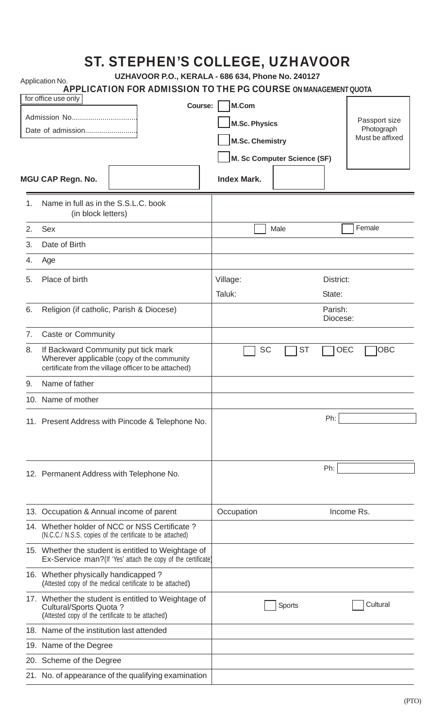## ST. STEPHEN'S COLLEGE, UZHAVOOR

|  | UZHAVOOR P.O., KERALA - 686 634, Phone No. 240127 |  |
|--|---------------------------------------------------|--|
|--|---------------------------------------------------|--|

|    | <u>UZNAVUUR P.U., NERALA - 000 034, PIIUIIE INO. Z40 IZT</u><br>Application No.<br>APPLICATION FOR ADMISSION TO THE PG COURSE ON MANAGEMENT QUOTA |                        |                             |                     |                             |
|----|---------------------------------------------------------------------------------------------------------------------------------------------------|------------------------|-----------------------------|---------------------|-----------------------------|
|    | for office use only<br>Course:                                                                                                                    | M.Com                  |                             |                     |                             |
|    | Date of admission                                                                                                                                 | <b>M.Sc. Physics</b>   |                             |                     | Passport size<br>Photograph |
|    |                                                                                                                                                   | <b>M.Sc. Chemistry</b> |                             |                     | Must be affixed             |
|    |                                                                                                                                                   |                        | M. Sc Computer Science (SF) |                     |                             |
|    | <b>MGU CAP Regn. No.</b>                                                                                                                          | <b>Index Mark.</b>     |                             |                     |                             |
| 1. | Name in full as in the S.S.L.C. book<br>(in block letters)                                                                                        |                        |                             |                     |                             |
| 2. | <b>Sex</b>                                                                                                                                        |                        | Male                        |                     | Female                      |
| 3. | Date of Birth                                                                                                                                     |                        |                             |                     |                             |
| 4. | Age                                                                                                                                               |                        |                             |                     |                             |
| 5. | Place of birth                                                                                                                                    | Village:<br>Taluk:     |                             | District:<br>State: |                             |
| 6. | Religion (if catholic, Parish & Diocese)                                                                                                          |                        |                             | Parish:<br>Diocese: |                             |
| 7. | Caste or Community                                                                                                                                |                        |                             |                     |                             |
| 8. | If Backward Community put tick mark<br>Wherever applicable (copy of the community<br>certificate from the village officer to be attached)         | <b>SC</b>              | ST                          | <b>OEC</b>          | <b>OBC</b>                  |
| 9. | Name of father                                                                                                                                    |                        |                             |                     |                             |
|    | 10. Name of mother                                                                                                                                |                        |                             |                     |                             |
|    | 11. Present Address with Pincode & Telephone No.                                                                                                  |                        |                             | Ph:                 |                             |
|    | 12. Permanent Address with Telephone No.                                                                                                          |                        |                             | Ph:                 |                             |
|    | 13. Occupation & Annual income of parent                                                                                                          | Occupation             |                             |                     | Income Rs.                  |
|    | 14. Whether holder of NCC or NSS Certificate?<br>(N.C.C./ N.S.S. copies of the certificate to be attached)                                        |                        |                             |                     |                             |
|    | 15. Whether the student is entitled to Weightage of<br>Ex-Service man? (If 'Yes' attach the copy of the certificate)                              |                        |                             |                     |                             |
|    | 16. Whether physically handicapped?<br>(Attested copy of the medical certificate to be attached)                                                  |                        |                             |                     |                             |
|    | 17. Whether the student is entitled to Weightage of<br>Cultural/Sports Quota?<br>(Attested copy of the certificate to be attached)                |                        | Sports                      |                     | Cultural                    |
|    | 18. Name of the institution last attended                                                                                                         |                        |                             |                     |                             |
|    | 19. Name of the Degree                                                                                                                            |                        |                             |                     |                             |
|    | 20. Scheme of the Degree                                                                                                                          |                        |                             |                     |                             |
|    | 21. No. of appearance of the qualifying examination                                                                                               |                        |                             |                     |                             |